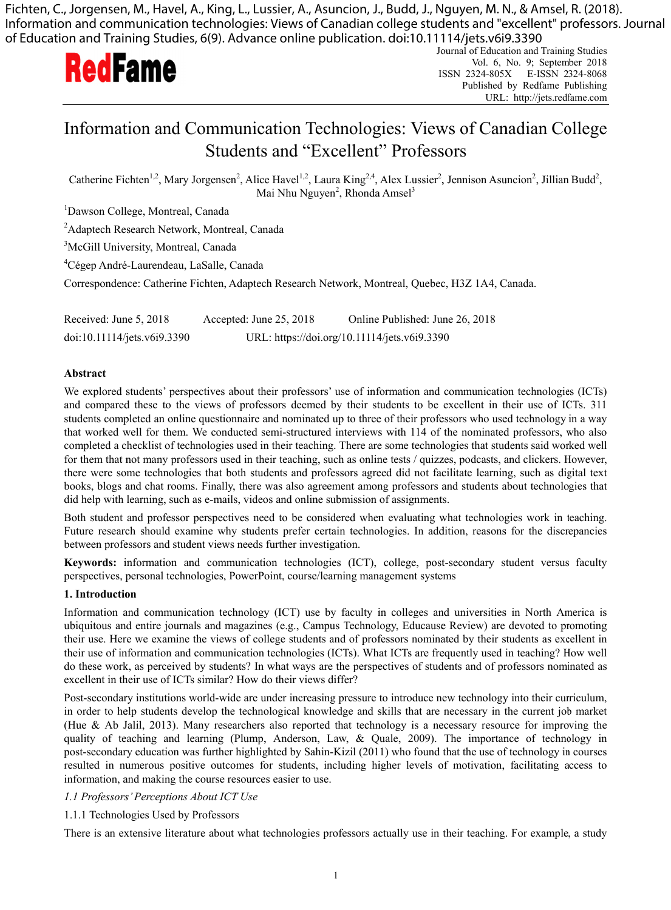Fichten, C., Jorgensen, M., Havel, A., King, L., Lussier, A., Asuncion, J., Budd, J., Nguyen, M. N., & Amsel, R. (2018). Information and communication technologies: Views of Canadian college students and "excellent" professors. Journal of Education and Training Studies, 6(9). Advance online publication. doi:10.11114/jets.v6i9.3390



Journal of Education and Training Studies I SSN 2324-805X Vol. 6, No. 9; September 2018 Published by Redfame P Publishing URL L: http://jets.redf fame.com X E-ISSN 2 324-8068

# Information and Communication Technologies: Views of Canadian College Students and "Excellent" Professors

Catherine Fichten<sup>1,2</sup>, Mary Jorgensen<sup>2</sup>, Alice Havel<sup>1,2</sup>, Laura King<sup>2,4</sup>, Alex Lussier<sup>2</sup>, Jennison Asuncion<sup>2</sup>, Jillian Budd<sup>2</sup>, Mai Nhu Nguyen<sup>2</sup>, Rhonda Amsel<sup>3</sup>

<sup>1</sup>Dawson College, Montreal, Canada

<sup>2</sup>Adaptech Research Network, Montreal, Canada

<sup>3</sup>McGill University, Montreal, Canada

<sup>4</sup>Cégep André-Laurendeau, LaSalle, Canada

Correspondence: Catherine Fichten, Adaptech Research Network, Montreal, Quebec, H3Z 1A4, Canada.

Received: June 5, 2018 doi:10.11114/j jets.v6i9.3390 Accepted: J June 25, 2018 URL: https://doi.org/10.11114/jets.v6i9.3390 Online Published: June 26, 2018

### **Abstract**

We explored students' perspectives about their professors' use of information and communication technologies (ICTs) and compared these to the views of professors deemed by their students to be excellent in their use of ICTs. 311 students completed an online questionnaire and nominated up to three of their professors who used technology in a way that worked well for them. We conducted semi-structured interviews with 114 of the nominated professors, who also completed a checklist of technologies used in their teaching. There are some technologies that students said worked well for them that not many professors used in their teaching, such as online tests / quizzes, podcasts, and clickers. However, there were some technologies that both students and professors agreed did not facilitate learning, such as digital text books, blogs and chat rooms. Finally, there was also agreement among professors and students about technologies that did help with learning, such as e-mails, videos and online submission of assignments.

Both student and professor perspectives need to be considered when evaluating what technologies work in teaching. Future research should examine why students prefer certain technologies. In addition, reasons for the discrepancies between professors and student views needs further investigation.

Keywords: information and communication technologies (ICT), college, post-secondary student versus faculty perspectives, personal technologies, PowerPoint, course/learning management systems

### 1. Introduction

Information and communication technology (ICT) use by faculty in colleges and universities in North America is ubiquitous and entire journals and magazines (e.g., Campus Technology, Educause Review) are devoted to promoting their use. Here we examine the views of college students and of professors nominated by their students as excellent in their use of information and communication technologies (ICTs). What ICTs are frequently used in teaching? How well do these work, as perceived by students? In what ways are the perspectives of students and of professors nominated as excellent in their use of ICTs similar? How do their views differ?

Post-secondary institutions world-wide are under increasing pressure to introduce new technology into their curriculum, in order to help students develop the technological knowledge and skills that are necessary in the current job market (Hue & Ab Jalil, 2013). Many researchers also reported that technology is a necessary resource for improving the quality of teaching and learning (Plump, Anderson, Law, & Quale, 2009). The importance of technology in post-secondary education was further highlighted by Sahin-Kizil (2011) who found that the use of technology in courses resulted in numerous positive outcomes for students, including higher levels of motivation, facilitating access to information, and making the course resources easier to use.

## 1.1 Professors' Perceptions About ICT Use

#### 1.1.1 Technologies Used by Professors

There is an extensive literature about what technologies professors actually use in their teaching. For example, a study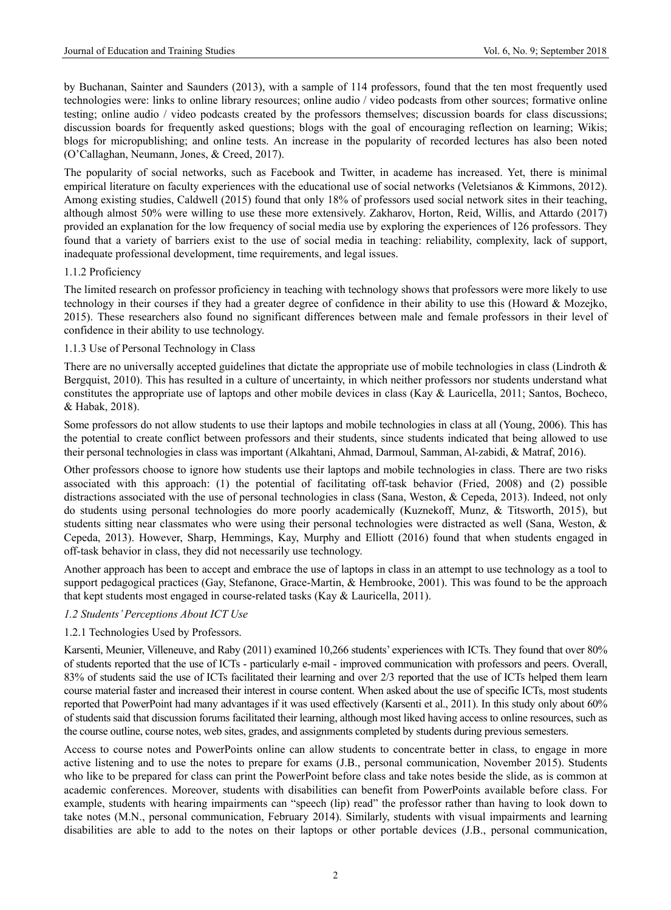by Buchanan, Sainter and Saunders (2013), with a sample of 114 professors, found that the ten most frequently used technologies were: links to online library resources; online audio / video podcasts from other sources; formative online testing; online audio / video podcasts created by the professors themselves; discussion boards for class discussions; discussion boards for frequently asked questions; blogs with the goal of encouraging reflection on learning; Wikis; blogs for micropublishing; and online tests. An increase in the popularity of recorded lectures has also been noted (O'Callaghan, Neumann, Jones, & Creed, 2017).

The popularity of social networks, such as Facebook and Twitter, in academe has increased. Yet, there is minimal empirical literature on faculty experiences with the educational use of social networks (Veletsianos & Kimmons, 2012). Among existing studies, Caldwell (2015) found that only 18% of professors used social network sites in their teaching, although almost 50% were willing to use these more extensively. Zakharov, Horton, Reid, Willis, and Attardo (2017) provided an explanation for the low frequency of social media use by exploring the experiences of 126 professors. They found that a variety of barriers exist to the use of social media in teaching: reliability, complexity, lack of support, inadequate professional development, time requirements, and legal issues.

### 1.1.2 Proficiency

The limited research on professor proficiency in teaching with technology shows that professors were more likely to use technology in their courses if they had a greater degree of confidence in their ability to use this (Howard & Mozejko, 2015). These researchers also found no significant differences between male and female professors in their level of confidence in their ability to use technology.

### 1.1.3 Use of Personal Technology in Class

There are no universally accepted guidelines that dictate the appropriate use of mobile technologies in class (Lindroth & Bergquist, 2010). This has resulted in a culture of uncertainty, in which neither professors nor students understand what constitutes the appropriate use of laptops and other mobile devices in class (Kay & Lauricella, 2011; Santos, Bocheco, & Habak, 2018).

Some professors do not allow students to use their laptops and mobile technologies in class at all (Young, 2006). This has the potential to create conflict between professors and their students, since students indicated that being allowed to use their personal technologies in class was important (Alkahtani, Ahmad, Darmoul, Samman, Al-zabidi, & Matraf, 2016).

Other professors choose to ignore how students use their laptops and mobile technologies in class. There are two risks associated with this approach: (1) the potential of facilitating off-task behavior (Fried, 2008) and (2) possible distractions associated with the use of personal technologies in class (Sana, Weston, & Cepeda, 2013). Indeed, not only do students using personal technologies do more poorly academically (Kuznekoff, Munz, & Titsworth, 2015), but students sitting near classmates who were using their personal technologies were distracted as well (Sana, Weston, & Cepeda, 2013). However, Sharp, Hemmings, Kay, Murphy and Elliott (2016) found that when students engaged in off-task behavior in class, they did not necessarily use technology.

Another approach has been to accept and embrace the use of laptops in class in an attempt to use technology as a tool to support pedagogical practices (Gay, Stefanone, Grace-Martin, & Hembrooke, 2001). This was found to be the approach that kept students most engaged in course-related tasks (Kay & Lauricella, 2011).

### *1.2 Students' Perceptions About ICT Use*

# 1.2.1 Technologies Used by Professors.

Karsenti, Meunier, Villeneuve, and Raby (2011) examined 10,266 students' experiences with ICTs. They found that over 80% of students reported that the use of ICTs - particularly e-mail - improved communication with professors and peers. Overall, 83% of students said the use of ICTs facilitated their learning and over 2/3 reported that the use of ICTs helped them learn course material faster and increased their interest in course content. When asked about the use of specific ICTs, most students reported that PowerPoint had many advantages if it was used effectively (Karsenti et al., 2011). In this study only about 60% of students said that discussion forums facilitated their learning, although most liked having access to online resources, such as the course outline, course notes, web sites, grades, and assignments completed by students during previous semesters.

Access to course notes and PowerPoints online can allow students to concentrate better in class, to engage in more active listening and to use the notes to prepare for exams (J.B., personal communication, November 2015). Students who like to be prepared for class can print the PowerPoint before class and take notes beside the slide, as is common at academic conferences. Moreover, students with disabilities can benefit from PowerPoints available before class. For example, students with hearing impairments can "speech (lip) read" the professor rather than having to look down to take notes (M.N., personal communication, February 2014). Similarly, students with visual impairments and learning disabilities are able to add to the notes on their laptops or other portable devices (J.B., personal communication,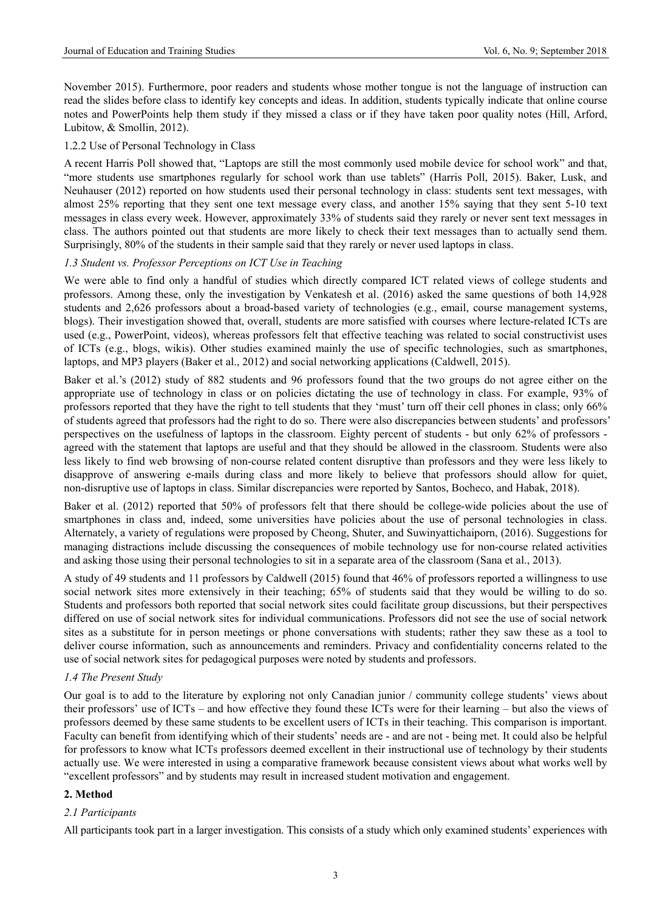November 2015). Furthermore, poor readers and students whose mother tongue is not the language of instruction can read the slides before class to identify key concepts and ideas. In addition, students typically indicate that online course notes and PowerPoints help them study if they missed a class or if they have taken poor quality notes (Hill, Arford, Lubitow, & Smollin, 2012).

### 1.2.2 Use of Personal Technology in Class

A recent Harris Poll showed that, "Laptops are still the most commonly used mobile device for school work" and that, "more students use smartphones regularly for school work than use tablets" (Harris Poll, 2015). Baker, Lusk, and Neuhauser (2012) reported on how students used their personal technology in class: students sent text messages, with almost 25% reporting that they sent one text message every class, and another 15% saying that they sent 5-10 text messages in class every week. However, approximately 33% of students said they rarely or never sent text messages in class. The authors pointed out that students are more likely to check their text messages than to actually send them. Surprisingly, 80% of the students in their sample said that they rarely or never used laptops in class.

#### *1.3 Student vs. Professor Perceptions on ICT Use in Teaching*

We were able to find only a handful of studies which directly compared ICT related views of college students and professors. Among these, only the investigation by Venkatesh et al. (2016) asked the same questions of both 14,928 students and 2,626 professors about a broad-based variety of technologies (e.g., email, course management systems, blogs). Their investigation showed that, overall, students are more satisfied with courses where lecture-related ICTs are used (e.g., PowerPoint, videos), whereas professors felt that effective teaching was related to social constructivist uses of ICTs (e.g., blogs, wikis). Other studies examined mainly the use of specific technologies, such as smartphones, laptops, and MP3 players (Baker et al., 2012) and social networking applications (Caldwell, 2015).

Baker et al.'s (2012) study of 882 students and 96 professors found that the two groups do not agree either on the appropriate use of technology in class or on policies dictating the use of technology in class. For example, 93% of professors reported that they have the right to tell students that they 'must' turn off their cell phones in class; only 66% of students agreed that professors had the right to do so. There were also discrepancies between students' and professors' perspectives on the usefulness of laptops in the classroom. Eighty percent of students - but only 62% of professors agreed with the statement that laptops are useful and that they should be allowed in the classroom. Students were also less likely to find web browsing of non-course related content disruptive than professors and they were less likely to disapprove of answering e-mails during class and more likely to believe that professors should allow for quiet, non-disruptive use of laptops in class. Similar discrepancies were reported by Santos, Bocheco, and Habak, 2018).

Baker et al. (2012) reported that 50% of professors felt that there should be college-wide policies about the use of smartphones in class and, indeed, some universities have policies about the use of personal technologies in class. Alternately, a variety of regulations were proposed by Cheong, Shuter, and Suwinyattichaiporn, (2016). Suggestions for managing distractions include discussing the consequences of mobile technology use for non-course related activities and asking those using their personal technologies to sit in a separate area of the classroom (Sana et al., 2013).

A study of 49 students and 11 professors by Caldwell (2015) found that 46% of professors reported a willingness to use social network sites more extensively in their teaching; 65% of students said that they would be willing to do so. Students and professors both reported that social network sites could facilitate group discussions, but their perspectives differed on use of social network sites for individual communications. Professors did not see the use of social network sites as a substitute for in person meetings or phone conversations with students; rather they saw these as a tool to deliver course information, such as announcements and reminders. Privacy and confidentiality concerns related to the use of social network sites for pedagogical purposes were noted by students and professors.

#### *1.4 The Present Study*

Our goal is to add to the literature by exploring not only Canadian junior / community college students' views about their professors' use of ICTs – and how effective they found these ICTs were for their learning – but also the views of professors deemed by these same students to be excellent users of ICTs in their teaching. This comparison is important. Faculty can benefit from identifying which of their students' needs are - and are not - being met. It could also be helpful for professors to know what ICTs professors deemed excellent in their instructional use of technology by their students actually use. We were interested in using a comparative framework because consistent views about what works well by "excellent professors" and by students may result in increased student motivation and engagement.

#### **2. Method**

### *2.1 Participants*

All participants took part in a larger investigation. This consists of a study which only examined students' experiences with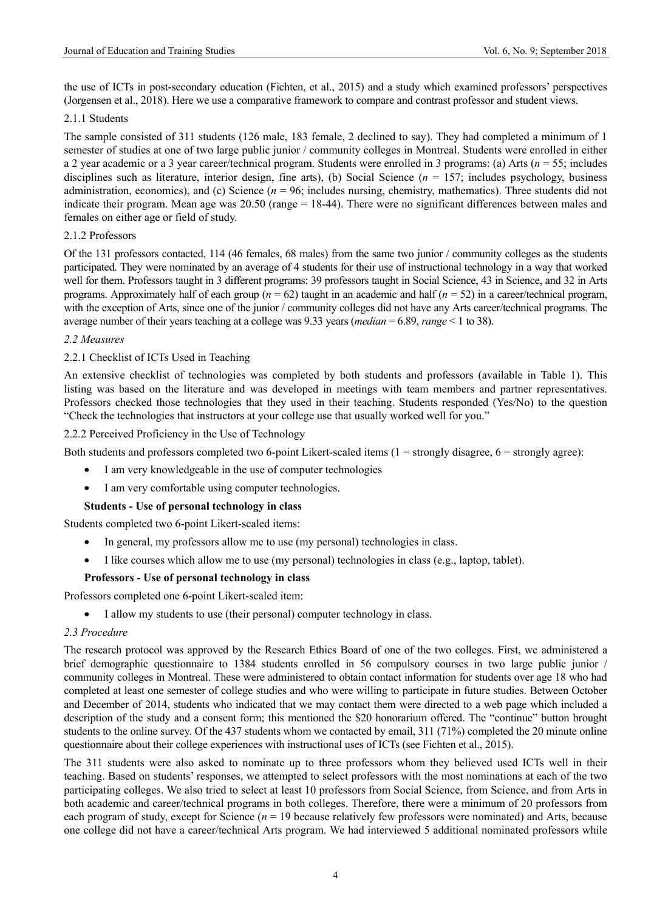the use of ICTs in post-secondary education (Fichten, et al., 2015) and a study which examined professors' perspectives (Jorgensen et al., 2018). Here we use a comparative framework to compare and contrast professor and student views.

### 2.1.1 Students

The sample consisted of 311 students (126 male, 183 female, 2 declined to say). They had completed a minimum of 1 semester of studies at one of two large public junior / community colleges in Montreal. Students were enrolled in either a 2 year academic or a 3 year career/technical program. Students were enrolled in 3 programs: (a) Arts (*n* = 55; includes disciplines such as literature, interior design, fine arts), (b) Social Science (*n* = 157; includes psychology, business administration, economics), and (c) Science  $(n = 96)$ ; includes nursing, chemistry, mathematics). Three students did not indicate their program. Mean age was 20.50 (range = 18-44). There were no significant differences between males and females on either age or field of study.

# 2.1.2 Professors

Of the 131 professors contacted, 114 (46 females, 68 males) from the same two junior / community colleges as the students participated. They were nominated by an average of 4 students for their use of instructional technology in a way that worked well for them. Professors taught in 3 different programs: 39 professors taught in Social Science, 43 in Science, and 32 in Arts programs. Approximately half of each group ( $n = 62$ ) taught in an academic and half ( $n = 52$ ) in a career/technical program, with the exception of Arts, since one of the junior / community colleges did not have any Arts career/technical programs. The average number of their years teaching at a college was 9.33 years (*median* = 6.89, *range* < 1 to 38).

### *2.2 Measures*

# 2.2.1 Checklist of ICTs Used in Teaching

An extensive checklist of technologies was completed by both students and professors (available in Table 1). This listing was based on the literature and was developed in meetings with team members and partner representatives. Professors checked those technologies that they used in their teaching. Students responded (Yes/No) to the question "Check the technologies that instructors at your college use that usually worked well for you."

# 2.2.2 Perceived Proficiency in the Use of Technology

Both students and professors completed two 6-point Likert-scaled items  $(1 = \text{strongly disagree}, 6 = \text{strongly agree})$ :

- I am very knowledgeable in the use of computer technologies
- I am very comfortable using computer technologies.

# **Students - Use of personal technology in class**

Students completed two 6-point Likert-scaled items:

- In general, my professors allow me to use (my personal) technologies in class.
- I like courses which allow me to use (my personal) technologies in class (e.g., laptop, tablet).

# **Professors - Use of personal technology in class**

Professors completed one 6-point Likert-scaled item:

• I allow my students to use (their personal) computer technology in class.

## *2.3 Procedure*

The research protocol was approved by the Research Ethics Board of one of the two colleges. First, we administered a brief demographic questionnaire to 1384 students enrolled in 56 compulsory courses in two large public junior / community colleges in Montreal. These were administered to obtain contact information for students over age 18 who had completed at least one semester of college studies and who were willing to participate in future studies. Between October and December of 2014, students who indicated that we may contact them were directed to a web page which included a description of the study and a consent form; this mentioned the \$20 honorarium offered. The "continue" button brought students to the online survey. Of the 437 students whom we contacted by email, 311 (71%) completed the 20 minute online questionnaire about their college experiences with instructional uses of ICTs (see Fichten et al., 2015).

The 311 students were also asked to nominate up to three professors whom they believed used ICTs well in their teaching. Based on students' responses, we attempted to select professors with the most nominations at each of the two participating colleges. We also tried to select at least 10 professors from Social Science, from Science, and from Arts in both academic and career/technical programs in both colleges. Therefore, there were a minimum of 20 professors from each program of study, except for Science (*n* = 19 because relatively few professors were nominated) and Arts, because one college did not have a career/technical Arts program. We had interviewed 5 additional nominated professors while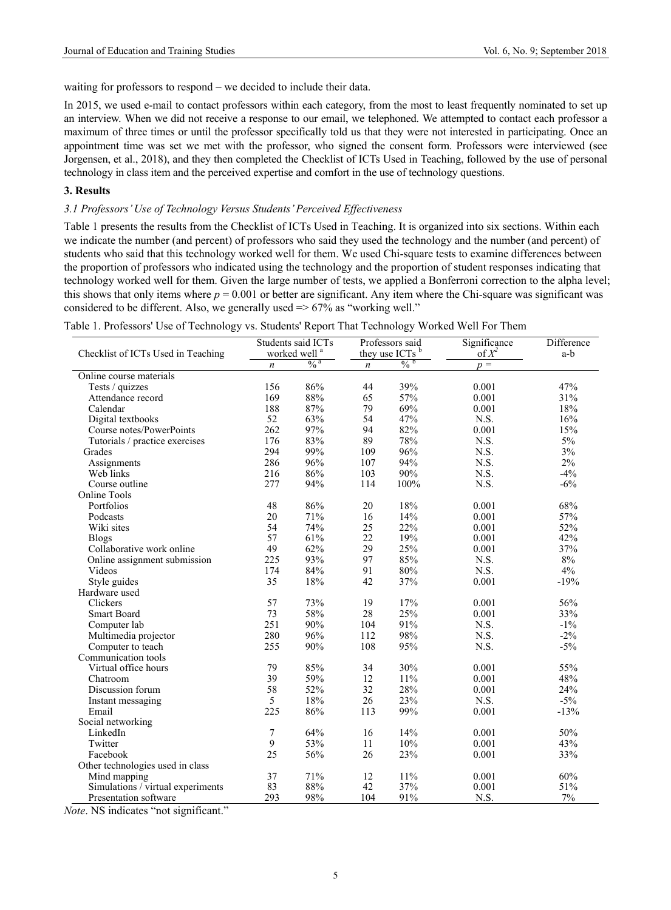waiting for professors to respond – we decided to include their data.

In 2015, we used e-mail to contact professors within each category, from the most to least frequently nominated to set up an interview. When we did not receive a response to our email, we telephoned. We attempted to contact each professor a maximum of three times or until the professor specifically told us that they were not interested in participating. Once an appointment time was set we met with the professor, who signed the consent form. Professors were interviewed (see Jorgensen, et al., 2018), and they then completed the Checklist of ICTs Used in Teaching, followed by the use of personal technology in class item and the perceived expertise and comfort in the use of technology questions.

### **3. Results**

### *3.1 Professors' Use of Technology Versus Students' Perceived Effectiveness*

Table 1 presents the results from the Checklist of ICTs Used in Teaching. It is organized into six sections. Within each we indicate the number (and percent) of professors who said they used the technology and the number (and percent) of students who said that this technology worked well for them. We used Chi-square tests to examine differences between the proportion of professors who indicated using the technology and the proportion of student responses indicating that technology worked well for them. Given the large number of tests, we applied a Bonferroni correction to the alpha level; this shows that only items where  $p = 0.001$  or better are significant. Any item where the Chi-square was significant was considered to be different. Also, we generally used  $\approx 67\%$  as "working well."

| Table 1. Professors' Use of Technology vs. Students' Report That Technology Worked Well For Them |  |  |
|--------------------------------------------------------------------------------------------------|--|--|
|                                                                                                  |  |  |

|                                    | Students said ICTs |                            | Professors said  |                            | Significance | Difference |
|------------------------------------|--------------------|----------------------------|------------------|----------------------------|--------------|------------|
| Checklist of ICTs Used in Teaching |                    | worked well <sup>a</sup>   |                  | they use ICTs <sup>b</sup> | of $X^2$     | $a-b$      |
|                                    | $\boldsymbol{n}$   | $\frac{0}{6}$ <sup>a</sup> | $\boldsymbol{n}$ | $\frac{0}{6}$              | $p =$        |            |
| Online course materials            |                    |                            |                  |                            |              |            |
| Tests / quizzes                    | 156                | 86%                        | 44               | 39%                        | 0.001        | 47%        |
| Attendance record                  | 169                | 88%                        | 65               | 57%                        | 0.001        | 31%        |
| Calendar                           | 188                | 87%                        | 79               | 69%                        | 0.001        | 18%        |
| Digital textbooks                  | 52                 | 63%                        | 54               | 47%                        | N.S.         | 16%        |
| Course notes/PowerPoints           | 262                | 97%                        | 94               | 82%                        | 0.001        | 15%        |
| Tutorials / practice exercises     | 176                | 83%                        | 89               | 78%                        | N.S.         | $5\%$      |
| Grades                             | 294                | 99%                        | 109              | 96%                        | N.S.         | 3%         |
| Assignments                        | 286                | 96%                        | 107              | 94%                        | N.S.         | 2%         |
| Web links                          | 216                | 86%                        | 103              | 90%                        | N.S.         | $-4%$      |
| Course outline                     | 277                | 94%                        | 114              | 100%                       | N.S.         | $-6%$      |
| <b>Online Tools</b>                |                    |                            |                  |                            |              |            |
| Portfolios                         | 48                 | 86%                        | 20               | 18%                        | 0.001        | 68%        |
| Podcasts                           | 20                 | 71%                        | 16               | 14%                        | 0.001        | 57%        |
| Wiki sites                         | 54                 | 74%                        | 25               | 22%                        | 0.001        | 52%        |
| <b>Blogs</b>                       | 57                 | 61%                        | 22               | 19%                        | 0.001        | 42%        |
| Collaborative work online          | 49                 | 62%                        | 29               | 25%                        | 0.001        | 37%        |
| Online assignment submission       | 225                | 93%                        | 97               | 85%                        | N.S.         | 8%         |
| Videos                             | 174                | 84%                        | 91               | 80%                        | N.S.         | 4%         |
| Style guides                       | 35                 | 18%                        | 42               | 37%                        | 0.001        | $-19%$     |
| Hardware used                      |                    |                            |                  |                            |              |            |
| Clickers                           | 57                 | 73%                        | 19               | 17%                        | 0.001        | 56%        |
| <b>Smart Board</b>                 | 73                 | 58%                        | 28               | 25%                        | 0.001        | 33%        |
| Computer lab                       | 251                | 90%                        | 104              | 91%                        | N.S.         | $-1\%$     |
| Multimedia projector               | 280                | 96%                        | 112              | 98%                        | N.S.         | $-2\%$     |
| Computer to teach                  | 255                | 90%                        | 108              | 95%                        | N.S.         | $-5%$      |
| Communication tools                |                    |                            |                  |                            |              |            |
| Virtual office hours               | 79                 | 85%                        | 34               | 30%                        | 0.001        | 55%        |
| Chatroom                           | 39                 | 59%                        | 12               | 11%                        | 0.001        | 48%        |
| Discussion forum                   | 58                 | 52%                        | 32               | 28%                        | 0.001        | 24%        |
| Instant messaging                  | 5                  | 18%                        | 26               | 23%                        | N.S.         | $-5%$      |
| Email                              | 225                | 86%                        | 113              | 99%                        | 0.001        | $-13%$     |
| Social networking                  |                    |                            |                  |                            |              |            |
| LinkedIn                           | 7                  | 64%                        | 16               | 14%                        | 0.001        | 50%        |
| Twitter                            | 9                  | 53%                        | 11               | 10%                        | 0.001        | 43%        |
| Facebook                           | 25                 | 56%                        | 26               | 23%                        | 0.001        | 33%        |
| Other technologies used in class   |                    |                            |                  |                            |              |            |
| Mind mapping                       | 37                 | 71%                        | 12               | 11%                        | 0.001        | 60%        |
| Simulations / virtual experiments  | 83                 | 88%                        | 42               | 37%                        | 0.001        | 51%        |
| Presentation software              | 293                | 98%                        | 104              | 91%                        | N.S.         | 7%         |

*Note*. NS indicates "not significant."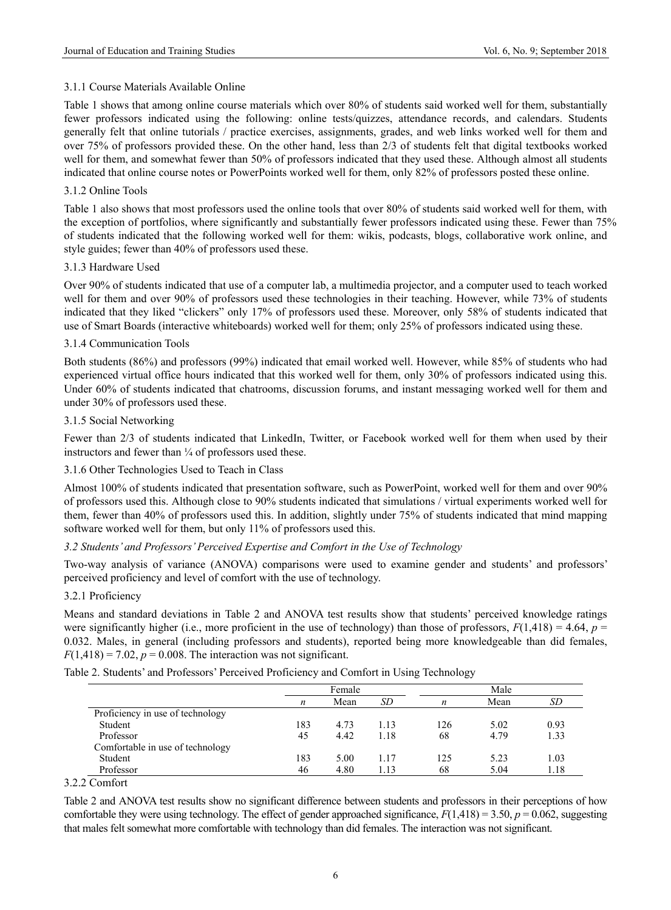# 3.1.1 Course Materials Available Online

Table 1 shows that among online course materials which over 80% of students said worked well for them, substantially fewer professors indicated using the following: online tests/quizzes, attendance records, and calendars. Students generally felt that online tutorials / practice exercises, assignments, grades, and web links worked well for them and over 75% of professors provided these. On the other hand, less than 2/3 of students felt that digital textbooks worked well for them, and somewhat fewer than 50% of professors indicated that they used these. Although almost all students indicated that online course notes or PowerPoints worked well for them, only 82% of professors posted these online.

# 3.1.2 Online Tools

Table 1 also shows that most professors used the online tools that over 80% of students said worked well for them, with the exception of portfolios, where significantly and substantially fewer professors indicated using these. Fewer than 75% of students indicated that the following worked well for them: wikis, podcasts, blogs, collaborative work online, and style guides; fewer than 40% of professors used these.

# 3.1.3 Hardware Used

Over 90% of students indicated that use of a computer lab, a multimedia projector, and a computer used to teach worked well for them and over 90% of professors used these technologies in their teaching. However, while 73% of students indicated that they liked "clickers" only 17% of professors used these. Moreover, only 58% of students indicated that use of Smart Boards (interactive whiteboards) worked well for them; only 25% of professors indicated using these.

# 3.1.4 Communication Tools

Both students (86%) and professors (99%) indicated that email worked well. However, while 85% of students who had experienced virtual office hours indicated that this worked well for them, only 30% of professors indicated using this. Under 60% of students indicated that chatrooms, discussion forums, and instant messaging worked well for them and under 30% of professors used these.

# 3.1.5 Social Networking

Fewer than 2/3 of students indicated that LinkedIn, Twitter, or Facebook worked well for them when used by their instructors and fewer than  $\frac{1}{4}$  of professors used these.

# 3.1.6 Other Technologies Used to Teach in Class

Almost 100% of students indicated that presentation software, such as PowerPoint, worked well for them and over 90% of professors used this. Although close to 90% students indicated that simulations / virtual experiments worked well for them, fewer than 40% of professors used this. In addition, slightly under 75% of students indicated that mind mapping software worked well for them, but only 11% of professors used this.

### *3.2 Students' and Professors' Perceived Expertise and Comfort in the Use of Technology*

Two-way analysis of variance (ANOVA) comparisons were used to examine gender and students' and professors' perceived proficiency and level of comfort with the use of technology.

### 3.2.1 Proficiency

Means and standard deviations in Table 2 and ANOVA test results show that students' perceived knowledge ratings were significantly higher (i.e., more proficient in the use of technology) than those of professors,  $F(1,418) = 4.64$ ,  $p =$ 0.032. Males, in general (including professors and students), reported being more knowledgeable than did females,  $F(1,418) = 7.02$ ,  $p = 0.008$ . The interaction was not significant.

|  | Table 2. Students' and Professors' Perceived Proficiency and Comfort in Using Technology |  |
|--|------------------------------------------------------------------------------------------|--|

|                                  | Female |      | Male |     |      |      |
|----------------------------------|--------|------|------|-----|------|------|
|                                  | n      | Mean | SD   | n   | Mean | SD   |
| Proficiency in use of technology |        |      |      |     |      |      |
| Student                          | 183    | 4.73 | 1.13 | 126 | 5.02 | 0.93 |
| Professor                        | 45     | 4.42 | 1.18 | 68  | 4.79 | 1.33 |
| Comfortable in use of technology |        |      |      |     |      |      |
| Student                          | 183    | 5.00 | 1.17 | 125 | 5.23 | 1.03 |
| Professor                        | 46     | 4.80 | 1.13 | 68  | 5.04 | 1.18 |

### 3.2.2 Comfort

Table 2 and ANOVA test results show no significant difference between students and professors in their perceptions of how comfortable they were using technology. The effect of gender approached significance,  $F(1,418) = 3.50$ ,  $p = 0.062$ , suggesting that males felt somewhat more comfortable with technology than did females. The interaction was not significant.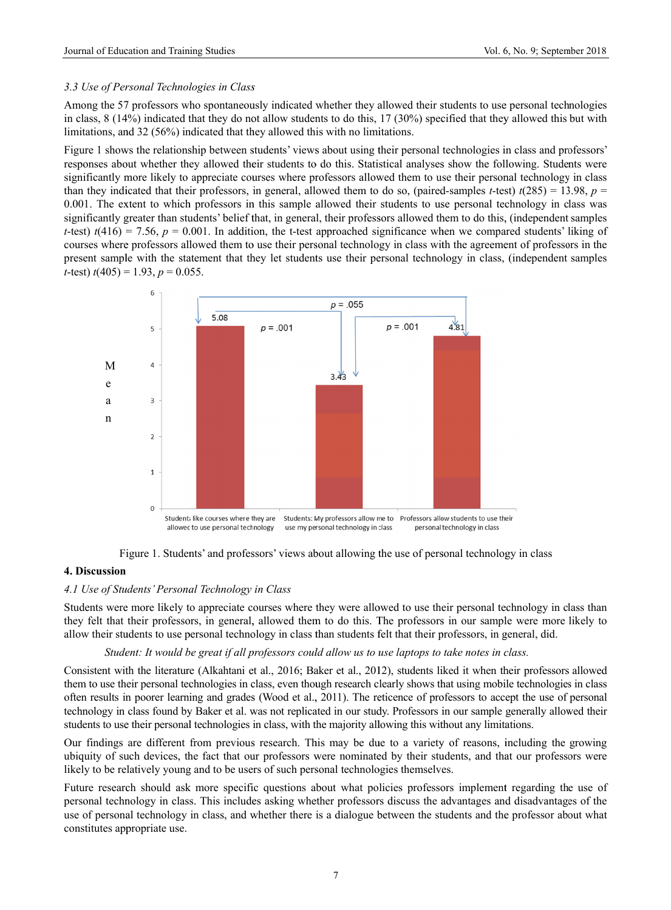### 3.3 Use of Personal Technologies in Class

Among the 57 professors who spontaneously indicated whether they allowed their students to use personal technologies in class,  $8(14%)$  indicated that they do not allow students to do this,  $17(30%)$  specified that they allowed this but with limitations, and 32 (56%) indicated that they allowed this with no limitations.

Figure 1 shows the relationship between students' views about using their personal technologies in class and professors' responses about whether they allowed their students to do this. Statistical analyses show the following. Students were significantly more likely to appreciate courses where professors allowed them to use their personal technology in class than they indicated that their professors, in general, allowed them to do so, (paired-samples *t*-test)  $t(285) = 13.98$ ,  $p =$ 0.001. The extent to which professors in this sample allowed their students to use personal technology in class was significantly greater than students' belief that, in general, their professors allowed them to do this, (independent samples *t*-test)  $t(416) = 7.56$ ,  $p = 0.001$ . In addition, the t-test approached significance when we compared students' liking of courses where professors allowed them to use their personal technology in class with the agreement of professors in the present sample with the statement that they let students use their personal technology in class, (independent samples *t*-test)  $t(405) = 1.93$ ,  $p = 0.055$ .



Figure 1. Students' and professors' views about allowing the use of personal technology in class

### **4. Discussion**

### 4.1 Use of Students' Personal Technology in Class

Students were more likely to appreciate courses where they were allowed to use their personal technology in class than they felt that their professors, in general, allowed them to do this. The professors in our sample were more likely to allow their students to use personal technology in class than students felt that their professors, in general, did.

#### *Student: It would be great if all professors could allow us to use laptops to take notes in class.*

Consistent with the literature (Alkahtani et al., 2016; Baker et al., 2012), students liked it when their professors allowed them to use their personal technologies in class, even though research clearly shows that using mobile technologies in class often results in poorer learning and grades (Wood et al., 2011). The reticence of professors to accept the use of personal technology in class found by Baker et al. was not replicated in our study. Professors in our sample generally allowed their students to use their personal technologies in class, with the majority allowing this without any limitations.

Our findings are different from previous research. This may be due to a variety of reasons, including the growing ubiquity of such devices, the fact that our professors were nominated by their students, and that our professors were likely to be relatively young and to be users of such personal technologies themselves.

Future research should ask more specific questions about what policies professors implement regarding the use of personal technology in class. This includes asking whether professors discuss the advantages and disadvantages of the use of personal technology in class, and whether there is a dialogue between the students and the professor about what constitutes app propriate use.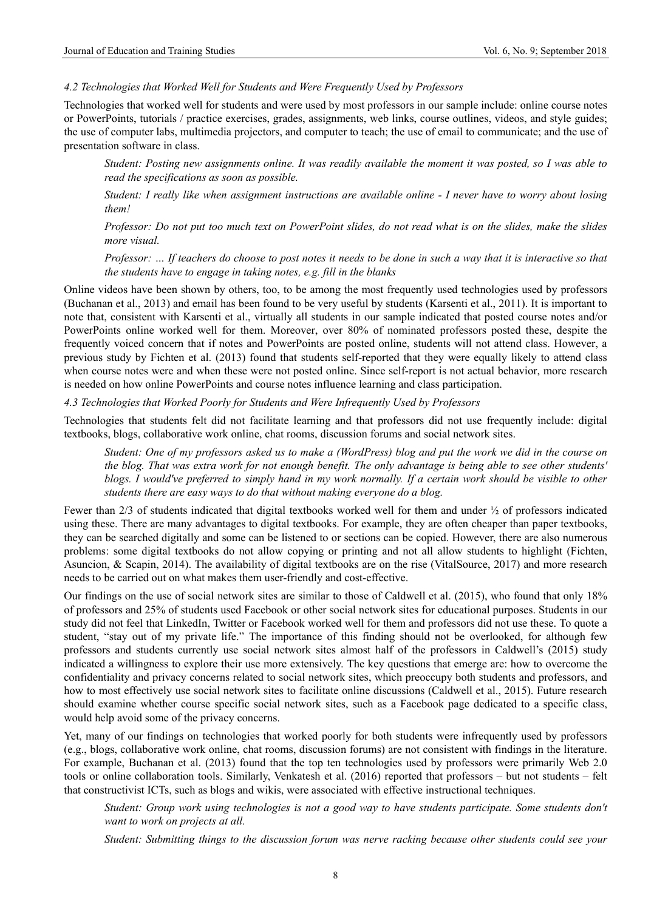### *4.2 Technologies that Worked Well for Students and Were Frequently Used by Professors*

Technologies that worked well for students and were used by most professors in our sample include: online course notes or PowerPoints, tutorials / practice exercises, grades, assignments, web links, course outlines, videos, and style guides; the use of computer labs, multimedia projectors, and computer to teach; the use of email to communicate; and the use of presentation software in class.

 *Student: Posting new assignments online. It was readily available the moment it was posted, so I was able to read the specifications as soon as possible.* 

*Student: I really like when assignment instructions are available online - I never have to worry about losing them!* 

*Professor: Do not put too much text on PowerPoint slides, do not read what is on the slides, make the slides more visual.* 

*Professor: … If teachers do choose to post notes it needs to be done in such a way that it is interactive so that the students have to engage in taking notes, e.g. fill in the blanks* 

Online videos have been shown by others, too, to be among the most frequently used technologies used by professors (Buchanan et al., 2013) and email has been found to be very useful by students (Karsenti et al., 2011). It is important to note that, consistent with Karsenti et al., virtually all students in our sample indicated that posted course notes and/or PowerPoints online worked well for them. Moreover, over 80% of nominated professors posted these, despite the frequently voiced concern that if notes and PowerPoints are posted online, students will not attend class. However, a previous study by Fichten et al. (2013) found that students self-reported that they were equally likely to attend class when course notes were and when these were not posted online. Since self-report is not actual behavior, more research is needed on how online PowerPoints and course notes influence learning and class participation.

*4.3 Technologies that Worked Poorly for Students and Were Infrequently Used by Professors* 

Technologies that students felt did not facilitate learning and that professors did not use frequently include: digital textbooks, blogs, collaborative work online, chat rooms, discussion forums and social network sites.

*Student: One of my professors asked us to make a (WordPress) blog and put the work we did in the course on the blog. That was extra work for not enough benefit. The only advantage is being able to see other students' blogs. I would've preferred to simply hand in my work normally. If a certain work should be visible to other students there are easy ways to do that without making everyone do a blog.* 

Fewer than 2/3 of students indicated that digital textbooks worked well for them and under ½ of professors indicated using these. There are many advantages to digital textbooks. For example, they are often cheaper than paper textbooks, they can be searched digitally and some can be listened to or sections can be copied. However, there are also numerous problems: some digital textbooks do not allow copying or printing and not all allow students to highlight (Fichten, Asuncion, & Scapin, 2014). The availability of digital textbooks are on the rise (VitalSource, 2017) and more research needs to be carried out on what makes them user-friendly and cost-effective.

Our findings on the use of social network sites are similar to those of Caldwell et al. (2015), who found that only 18% of professors and 25% of students used Facebook or other social network sites for educational purposes. Students in our study did not feel that LinkedIn, Twitter or Facebook worked well for them and professors did not use these. To quote a student, "stay out of my private life." The importance of this finding should not be overlooked, for although few professors and students currently use social network sites almost half of the professors in Caldwell's (2015) study indicated a willingness to explore their use more extensively. The key questions that emerge are: how to overcome the confidentiality and privacy concerns related to social network sites, which preoccupy both students and professors, and how to most effectively use social network sites to facilitate online discussions (Caldwell et al., 2015). Future research should examine whether course specific social network sites, such as a Facebook page dedicated to a specific class, would help avoid some of the privacy concerns.

Yet, many of our findings on technologies that worked poorly for both students were infrequently used by professors (e.g., blogs, collaborative work online, chat rooms, discussion forums) are not consistent with findings in the literature. For example, Buchanan et al. (2013) found that the top ten technologies used by professors were primarily Web 2.0 tools or online collaboration tools. Similarly, Venkatesh et al. (2016) reported that professors – but not students – felt that constructivist ICTs, such as blogs and wikis, were associated with effective instructional techniques.

*Student: Group work using technologies is not a good way to have students participate. Some students don't want to work on projects at all.* 

*Student: Submitting things to the discussion forum was nerve racking because other students could see your*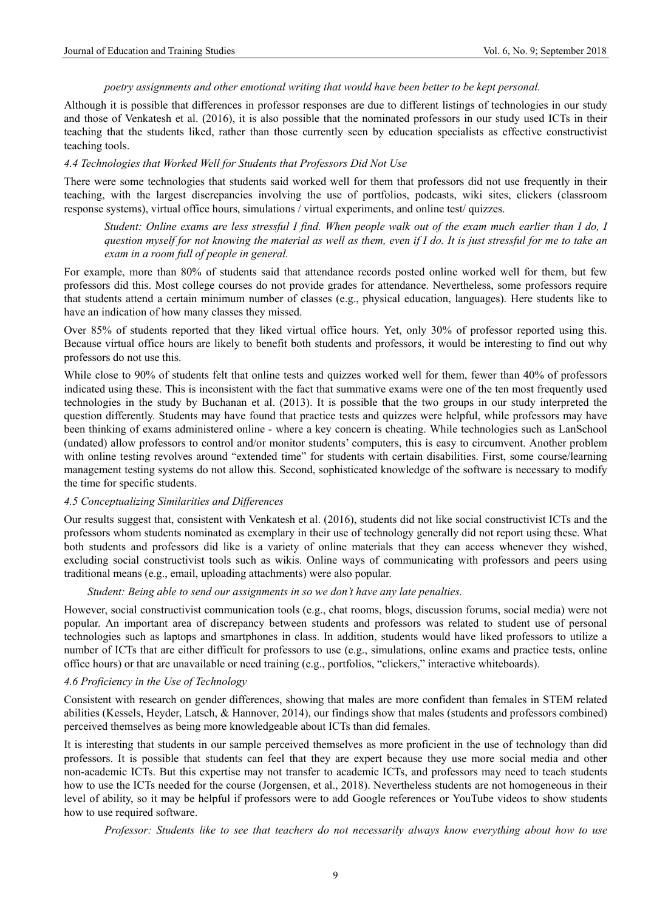### *poetry assignments and other emotional writing that would have been better to be kept personal.*

Although it is possible that differences in professor responses are due to different listings of technologies in our study and those of Venkatesh et al. (2016), it is also possible that the nominated professors in our study used ICTs in their teaching that the students liked, rather than those currently seen by education specialists as effective constructivist teaching tools.

### *4.4 Technologies that Worked Well for Students that Professors Did Not Use*

There were some technologies that students said worked well for them that professors did not use frequently in their teaching, with the largest discrepancies involving the use of portfolios, podcasts, wiki sites, clickers (classroom response systems), virtual office hours, simulations / virtual experiments, and online test/ quizzes.

*Student: Online exams are less stressful I find. When people walk out of the exam much earlier than I do, I question myself for not knowing the material as well as them, even if I do. It is just stressful for me to take an exam in a room full of people in general.* 

For example, more than 80% of students said that attendance records posted online worked well for them, but few professors did this. Most college courses do not provide grades for attendance. Nevertheless, some professors require that students attend a certain minimum number of classes (e.g., physical education, languages). Here students like to have an indication of how many classes they missed.

Over 85% of students reported that they liked virtual office hours. Yet, only 30% of professor reported using this. Because virtual office hours are likely to benefit both students and professors, it would be interesting to find out why professors do not use this.

While close to 90% of students felt that online tests and quizzes worked well for them, fewer than 40% of professors indicated using these. This is inconsistent with the fact that summative exams were one of the ten most frequently used technologies in the study by Buchanan et al. (2013). It is possible that the two groups in our study interpreted the question differently. Students may have found that practice tests and quizzes were helpful, while professors may have been thinking of exams administered online - where a key concern is cheating. While technologies such as LanSchool (undated) allow professors to control and/or monitor students' computers, this is easy to circumvent. Another problem with online testing revolves around "extended time" for students with certain disabilities. First, some course/learning management testing systems do not allow this. Second, sophisticated knowledge of the software is necessary to modify the time for specific students.

### *4.5 Conceptualizing Similarities and Differences*

Our results suggest that, consistent with Venkatesh et al. (2016), students did not like social constructivist ICTs and the professors whom students nominated as exemplary in their use of technology generally did not report using these. What both students and professors did like is a variety of online materials that they can access whenever they wished, excluding social constructivist tools such as wikis. Online ways of communicating with professors and peers using traditional means (e.g., email, uploading attachments) were also popular.

### *Student: Being able to send our assignments in so we don't have any late penalties.*

However, social constructivist communication tools (e.g., chat rooms, blogs, discussion forums, social media) were not popular. An important area of discrepancy between students and professors was related to student use of personal technologies such as laptops and smartphones in class. In addition, students would have liked professors to utilize a number of ICTs that are either difficult for professors to use (e.g., simulations, online exams and practice tests, online office hours) or that are unavailable or need training (e.g., portfolios, "clickers," interactive whiteboards).

#### *4.6 Proficiency in the Use of Technology*

Consistent with research on gender differences, showing that males are more confident than females in STEM related abilities (Kessels, Heyder, Latsch, & Hannover, 2014), our findings show that males (students and professors combined) perceived themselves as being more knowledgeable about ICTs than did females.

It is interesting that students in our sample perceived themselves as more proficient in the use of technology than did professors. It is possible that students can feel that they are expert because they use more social media and other non-academic ICTs. But this expertise may not transfer to academic ICTs, and professors may need to teach students how to use the ICTs needed for the course (Jorgensen, et al., 2018). Nevertheless students are not homogeneous in their level of ability, so it may be helpful if professors were to add Google references or YouTube videos to show students how to use required software.

*Professor: Students like to see that teachers do not necessarily always know everything about how to use*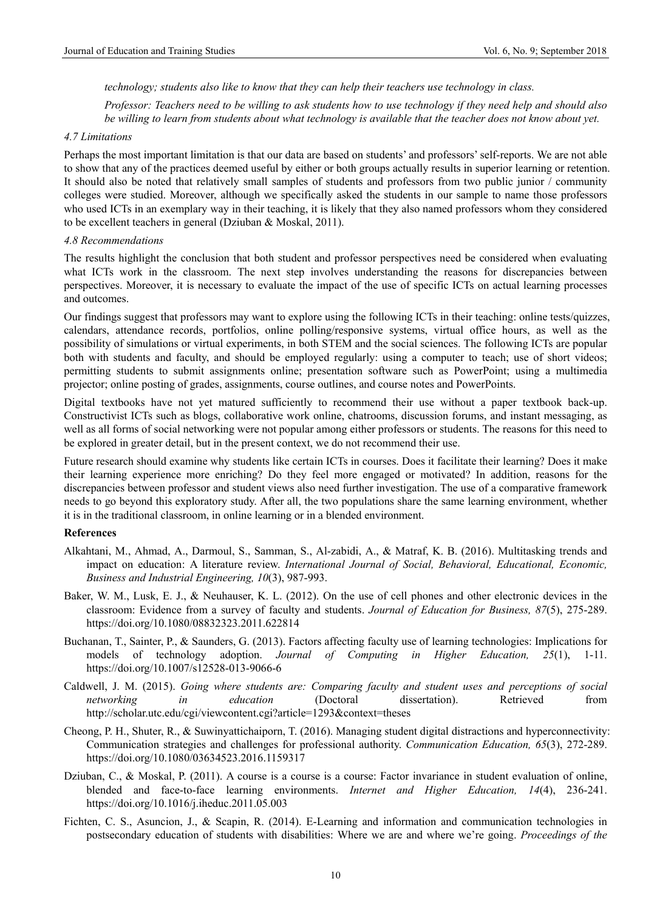*technology; students also like to know that they can help their teachers use technology in class.* 

*Professor: Teachers need to be willing to ask students how to use technology if they need help and should also*  be willing to learn from students about what technology is available that the teacher does not know about yet.

### *4.7 Limitations*

Perhaps the most important limitation is that our data are based on students' and professors' self-reports. We are not able to show that any of the practices deemed useful by either or both groups actually results in superior learning or retention. It should also be noted that relatively small samples of students and professors from two public junior / community colleges were studied. Moreover, although we specifically asked the students in our sample to name those professors who used ICTs in an exemplary way in their teaching, it is likely that they also named professors whom they considered to be excellent teachers in general (Dziuban & Moskal, 2011).

### *4.8 Recommendations*

The results highlight the conclusion that both student and professor perspectives need be considered when evaluating what ICTs work in the classroom. The next step involves understanding the reasons for discrepancies between perspectives. Moreover, it is necessary to evaluate the impact of the use of specific ICTs on actual learning processes and outcomes.

Our findings suggest that professors may want to explore using the following ICTs in their teaching: online tests/quizzes, calendars, attendance records, portfolios, online polling/responsive systems, virtual office hours, as well as the possibility of simulations or virtual experiments, in both STEM and the social sciences. The following ICTs are popular both with students and faculty, and should be employed regularly: using a computer to teach; use of short videos; permitting students to submit assignments online; presentation software such as PowerPoint; using a multimedia projector; online posting of grades, assignments, course outlines, and course notes and PowerPoints.

Digital textbooks have not yet matured sufficiently to recommend their use without a paper textbook back-up. Constructivist ICTs such as blogs, collaborative work online, chatrooms, discussion forums, and instant messaging, as well as all forms of social networking were not popular among either professors or students. The reasons for this need to be explored in greater detail, but in the present context, we do not recommend their use.

Future research should examine why students like certain ICTs in courses. Does it facilitate their learning? Does it make their learning experience more enriching? Do they feel more engaged or motivated? In addition, reasons for the discrepancies between professor and student views also need further investigation. The use of a comparative framework needs to go beyond this exploratory study. After all, the two populations share the same learning environment, whether it is in the traditional classroom, in online learning or in a blended environment.

#### **References**

- Alkahtani, M., Ahmad, A., Darmoul, S., Samman, S., Al-zabidi, A., & Matraf, K. B. (2016). Multitasking trends and impact on education: A literature review. *International Journal of Social, Behavioral, Educational, Economic, Business and Industrial Engineering, 10*(3), 987-993.
- Baker, W. M., Lusk, E. J., & Neuhauser, K. L. (2012). On the use of cell phones and other electronic devices in the classroom: Evidence from a survey of faculty and students. *Journal of Education for Business, 87*(5), 275-289. https://doi.org/10.1080/08832323.2011.622814
- Buchanan, T., Sainter, P., & Saunders, G. (2013). Factors affecting faculty use of learning technologies: Implications for models of technology adoption. *Journal of Computing in Higher Education, 25*(1), 1-11. https://doi.org/10.1007/s12528-013-9066-6
- Caldwell, J. M. (2015). *Going where students are: Comparing faculty and student uses and perceptions of social networking in education* (Doctoral dissertation). Retrieved from http://scholar.utc.edu/cgi/viewcontent.cgi?article=1293&context=theses
- Cheong, P. H., Shuter, R., & Suwinyattichaiporn, T. (2016). Managing student digital distractions and hyperconnectivity: Communication strategies and challenges for professional authority. *Communication Education, 65*(3), 272-289. https://doi.org/10.1080/03634523.2016.1159317
- Dziuban, C., & Moskal, P. (2011). A course is a course is a course: Factor invariance in student evaluation of online, blended and face-to-face learning environments. *Internet and Higher Education, 14*(4), 236-241. https://doi.org/10.1016/j.iheduc.2011.05.003
- Fichten, C. S., Asuncion, J., & Scapin, R. (2014). E-Learning and information and communication technologies in postsecondary education of students with disabilities: Where we are and where we're going. *Proceedings of the*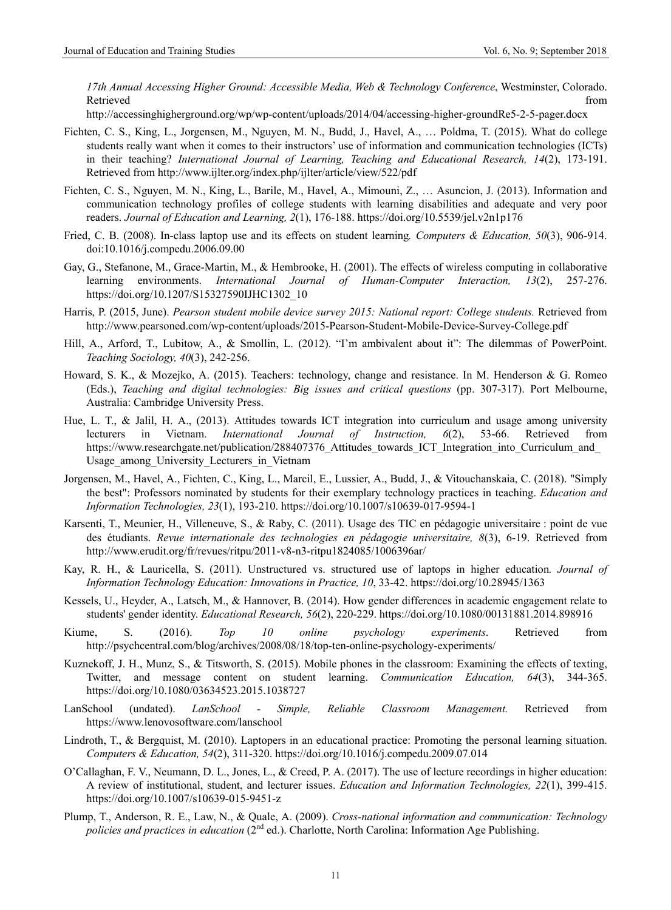*17th Annual Accessing Higher Ground: Accessible Media, Web & Technology Conference*, Westminster, Colorado. Retrieved that the contract of the contract of the contract of the contract of the contract of the contract of the contract of the contract of the contract of the contract of the contract of the contract of the contract of

http://accessinghigherground.org/wp/wp-content/uploads/2014/04/accessing-higher-groundRe5-2-5-pager.docx

- Fichten, C. S., King, L., Jorgensen, M., Nguyen, M. N., Budd, J., Havel, A., … Poldma, T. (2015). What do college students really want when it comes to their instructors' use of information and communication technologies (ICTs) in their teaching? *International Journal of Learning, Teaching and Educational Research, 14*(2), 173-191. Retrieved from http://www.ijlter.org/index.php/ijlter/article/view/522/pdf
- Fichten, C. S., Nguyen, M. N., King, L., Barile, M., Havel, A., Mimouni, Z., … Asuncion, J. (2013). Information and communication technology profiles of college students with learning disabilities and adequate and very poor readers. *Journal of Education and Learning, 2*(1), 176-188. https://doi.org/10.5539/jel.v2n1p176
- Fried, C. B. (2008). In-class laptop use and its effects on student learning*. Computers & Education, 50*(3), 906-914. doi:10.1016/j.compedu.2006.09.00
- Gay, G., Stefanone, M., Grace-Martin, M., & Hembrooke, H. (2001). The effects of wireless computing in collaborative learning environments. *International Journal of Human-Computer Interaction, 13*(2), 257-276. https://doi.org/10.1207/S15327590IJHC1302\_10
- Harris, P. (2015, June). *Pearson student mobile device survey 2015: National report: College students.* Retrieved from http://www.pearsoned.com/wp-content/uploads/2015-Pearson-Student-Mobile-Device-Survey-College.pdf
- Hill, A., Arford, T., Lubitow, A., & Smollin, L. (2012). "I'm ambivalent about it": The dilemmas of PowerPoint. *Teaching Sociology, 40*(3), 242-256.
- Howard, S. K., & Mozejko, A. (2015). Teachers: technology, change and resistance. In M. Henderson & G. Romeo (Eds.), *Teaching and digital technologies: Big issues and critical questions* (pp. 307-317). Port Melbourne, Australia: Cambridge University Press.
- Hue, L. T., & Jalil, H. A., (2013). Attitudes towards ICT integration into curriculum and usage among university lecturers in Vietnam. *International Journal of Instruction, 6*(2), 53-66. Retrieved from https://www.researchgate.net/publication/288407376 Attitudes towards ICT Integration into Curriculum and Usage among University Lecturers in Vietnam
- Jorgensen, M., Havel, A., Fichten, C., King, L., Marcil, E., Lussier, A., Budd, J., & Vitouchanskaia, C. (2018). "Simply the best": Professors nominated by students for their exemplary technology practices in teaching. *Education and Information Technologies, 23*(1), 193-210. https://doi.org/10.1007/s10639-017-9594-1
- Karsenti, T., Meunier, H., Villeneuve, S., & Raby, C. (2011). Usage des TIC en pédagogie universitaire : point de vue des étudiants. *Revue internationale des technologies en pédagogie universitaire, 8*(3), 6-19. Retrieved from http://www.erudit.org/fr/revues/ritpu/2011-v8-n3-ritpu1824085/1006396ar/
- Kay, R. H., & Lauricella, S. (2011). Unstructured vs. structured use of laptops in higher education*. Journal of Information Technology Education: Innovations in Practice, 10*, 33-42. https://doi.org/10.28945/1363
- Kessels, U., Heyder, A., Latsch, M., & Hannover, B. (2014). How gender differences in academic engagement relate to students' gender identity. *Educational Research, 56*(2), 220-229. https://doi.org/10.1080/00131881.2014.898916
- Kiume, S. (2016). *Top 10 online psychology experiments*. Retrieved from http://psychcentral.com/blog/archives/2008/08/18/top-ten-online-psychology-experiments/
- Kuznekoff, J. H., Munz, S., & Titsworth, S. (2015). Mobile phones in the classroom: Examining the effects of texting, Twitter, and message content on student learning. *Communication Education, 64*(3), 344-365. https://doi.org/10.1080/03634523.2015.1038727
- LanSchool (undated). *LanSchool Simple, Reliable Classroom Management.* Retrieved from https://www.lenovosoftware.com/lanschool
- Lindroth, T., & Bergquist, M. (2010). Laptopers in an educational practice: Promoting the personal learning situation. *Computers & Education, 54*(2), 311-320. https://doi.org/10.1016/j.compedu.2009.07.014
- O'Callaghan, F. V., Neumann, D. L., Jones, L., & Creed, P. A. (2017). The use of lecture recordings in higher education: A review of institutional, student, and lecturer issues. *Education and Information Technologies, 22*(1), 399-415. https://doi.org/10.1007/s10639-015-9451-z
- Plump, T., Anderson, R. E., Law, N., & Quale, A. (2009). *Cross-national information and communication: Technology policies and practices in education* (2nd ed.). Charlotte, North Carolina: Information Age Publishing.